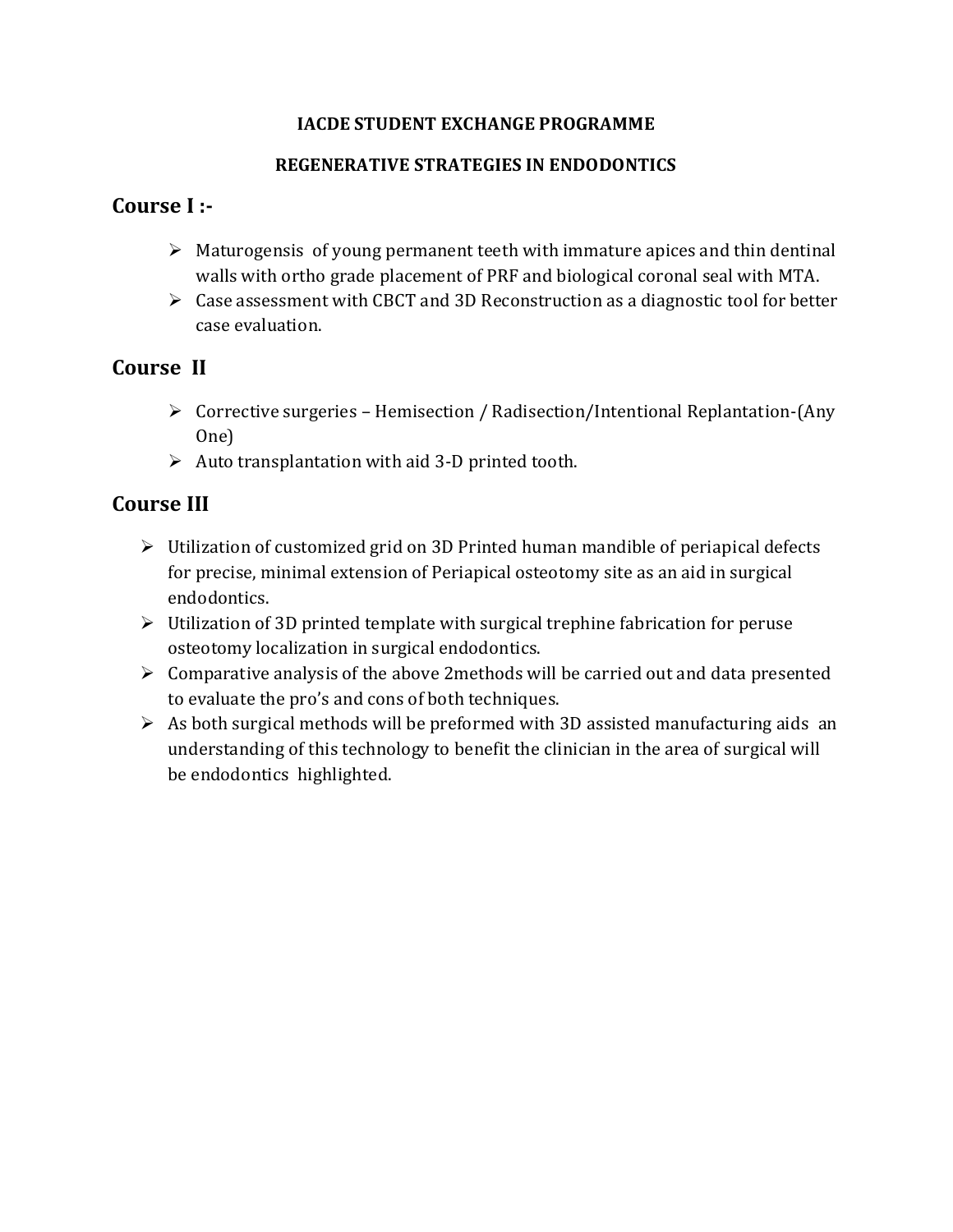#### **IACDE STUDENT EXCHANGE PROGRAMME**

## **REGENERATIVE STRATEGIES IN ENDODONTICS**

# **Course I :-**

- $\triangleright$  Maturogensis of young permanent teeth with immature apices and thin dentinal walls with ortho grade placement of PRF and biological coronal seal with MTA.
- $\triangleright$  Case assessment with CBCT and 3D Reconstruction as a diagnostic tool for better case evaluation.

# **Course II**

- Corrective surgeries Hemisection / Radisection/Intentional Replantation-(Any One)
- $\triangleright$  Auto transplantation with aid 3-D printed tooth.

# **Course III**

- $\triangleright$  Utilization of customized grid on 3D Printed human mandible of periapical defects for precise, minimal extension of Periapical osteotomy site as an aid in surgical endodontics.
- $\triangleright$  Utilization of 3D printed template with surgical trephine fabrication for peruse osteotomy localization in surgical endodontics.
- $\triangleright$  Comparative analysis of the above 2methods will be carried out and data presented to evaluate the pro's and cons of both techniques.
- $\triangleright$  As both surgical methods will be preformed with 3D assisted manufacturing aids an understanding of this technology to benefit the clinician in the area of surgical will be endodontics highlighted.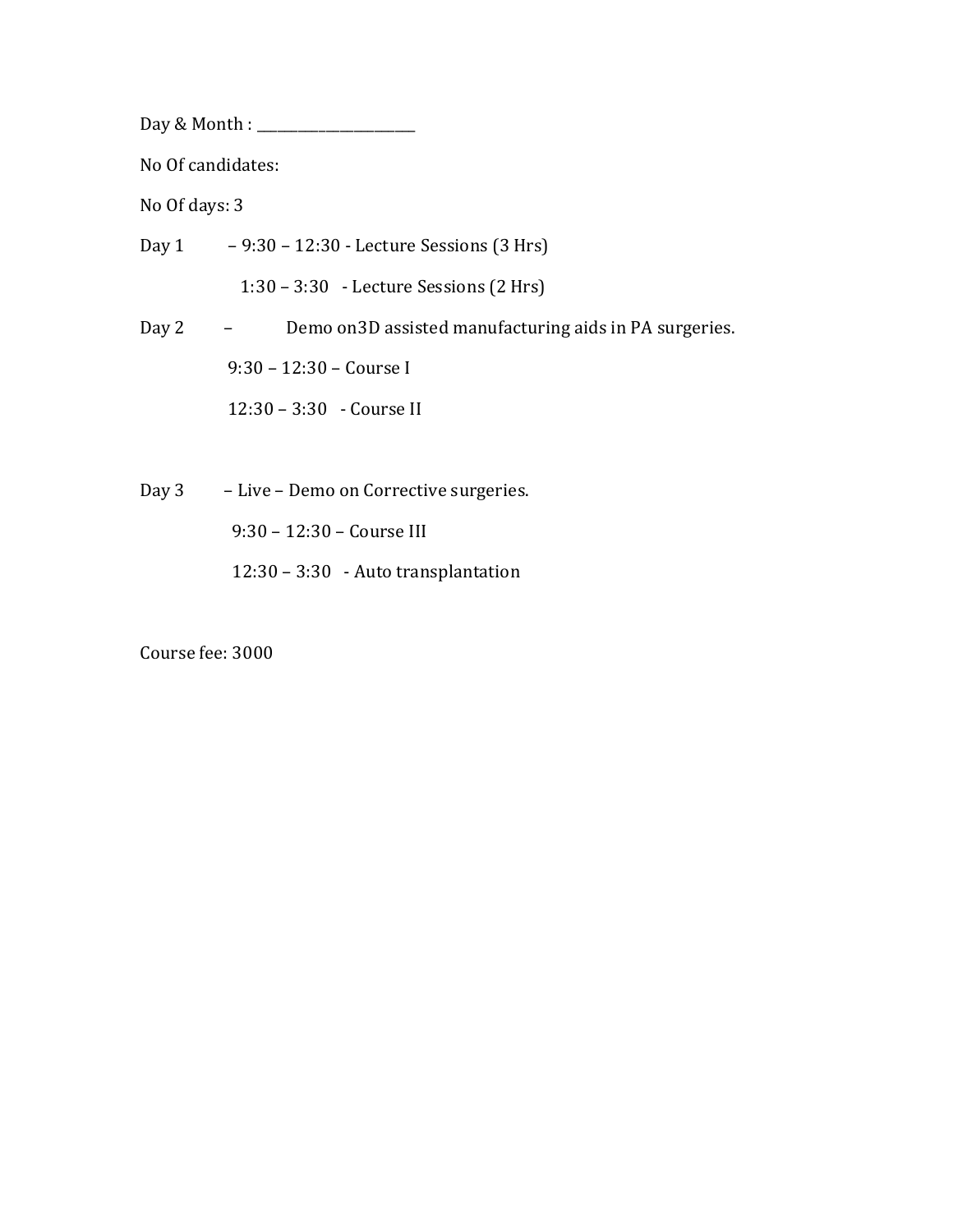Day & Month : \_\_\_\_\_\_\_\_\_\_\_\_\_\_\_\_\_\_\_\_\_\_\_

No Of candidates:

No Of days: 3

Day 1 – 9:30 – 12:30 - Lecture Sessions (3 Hrs) 1:30 – 3:30 - Lecture Sessions (2 Hrs) Day 2 – Demo on3D assisted manufacturing aids in PA surgeries. 9:30 – 12:30 – Course I 12:30 – 3:30 - Course II Day 3 – Live – Demo on Corrective surgeries.

9:30 – 12:30 – Course III

12:30 – 3:30 - Auto transplantation

Course fee: 3000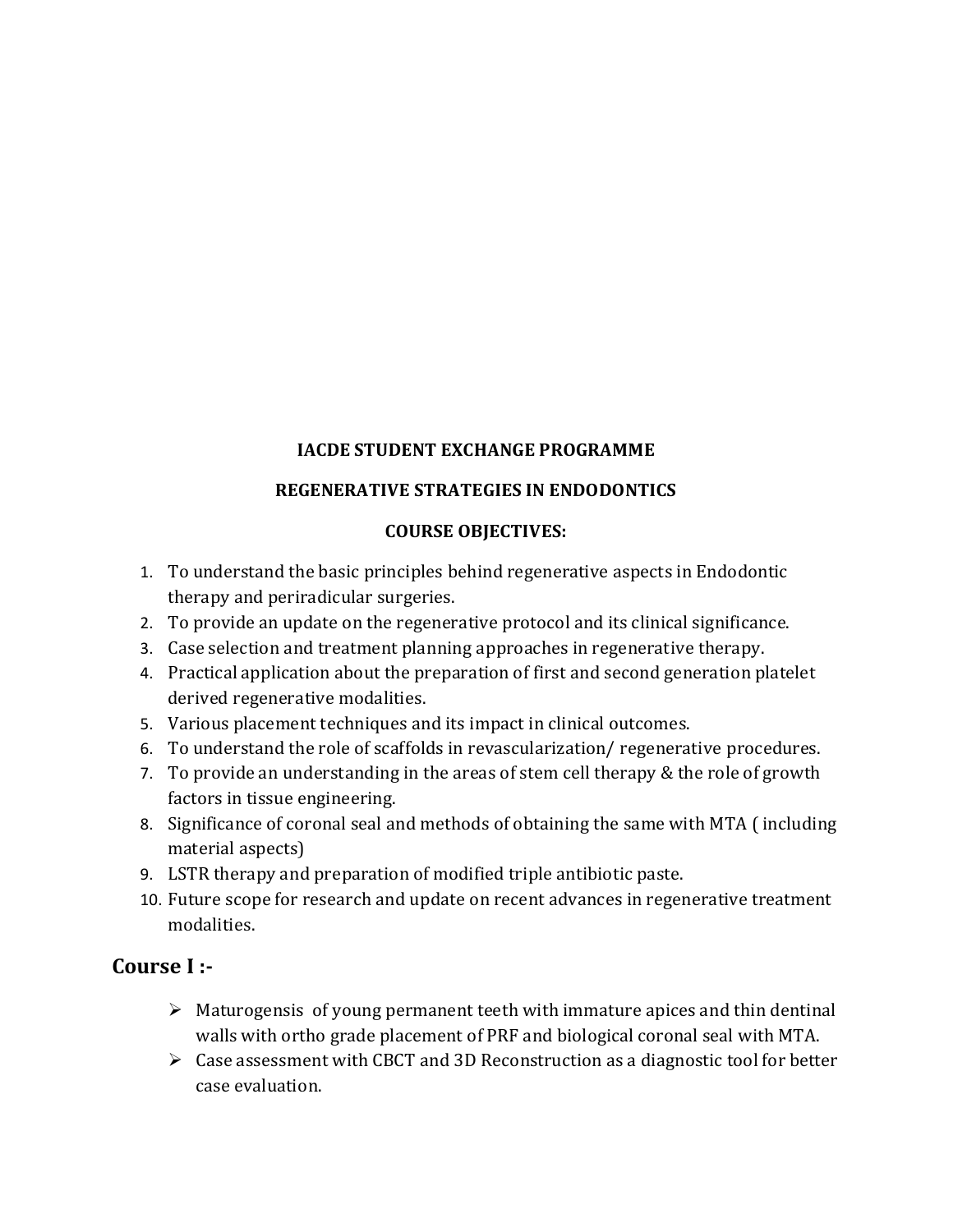## **IACDE STUDENT EXCHANGE PROGRAMME**

#### **REGENERATIVE STRATEGIES IN ENDODONTICS**

#### **COURSE OBJECTIVES:**

- 1. To understand the basic principles behind regenerative aspects in Endodontic therapy and periradicular surgeries.
- 2. To provide an update on the regenerative protocol and its clinical significance.
- 3. Case selection and treatment planning approaches in regenerative therapy.
- 4. Practical application about the preparation of first and second generation platelet derived regenerative modalities.
- 5. Various placement techniques and its impact in clinical outcomes.
- 6. To understand the role of scaffolds in revascularization/ regenerative procedures.
- 7. To provide an understanding in the areas of stem cell therapy & the role of growth factors in tissue engineering.
- 8. Significance of coronal seal and methods of obtaining the same with MTA ( including material aspects)
- 9. LSTR therapy and preparation of modified triple antibiotic paste.
- 10. Future scope for research and update on recent advances in regenerative treatment modalities.

## **Course I :-**

- $\triangleright$  Maturogensis of young permanent teeth with immature apices and thin dentinal walls with ortho grade placement of PRF and biological coronal seal with MTA.
- $\triangleright$  Case assessment with CBCT and 3D Reconstruction as a diagnostic tool for better case evaluation.